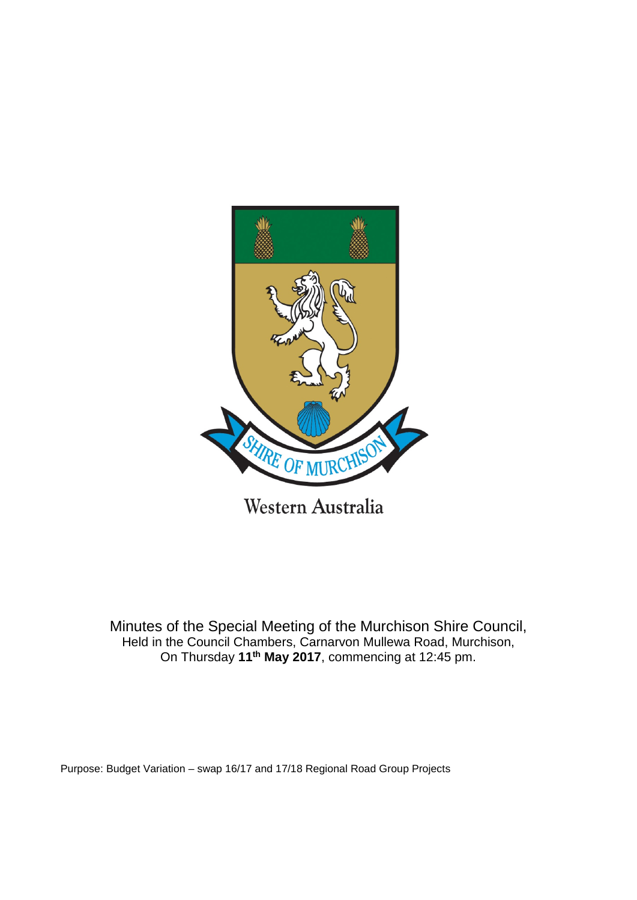

Minutes of the Special Meeting of the Murchison Shire Council, Held in the Council Chambers, Carnarvon Mullewa Road, Murchison, On Thursday **11th May 2017**, commencing at 12:45 pm.

Purpose: Budget Variation – swap 16/17 and 17/18 Regional Road Group Projects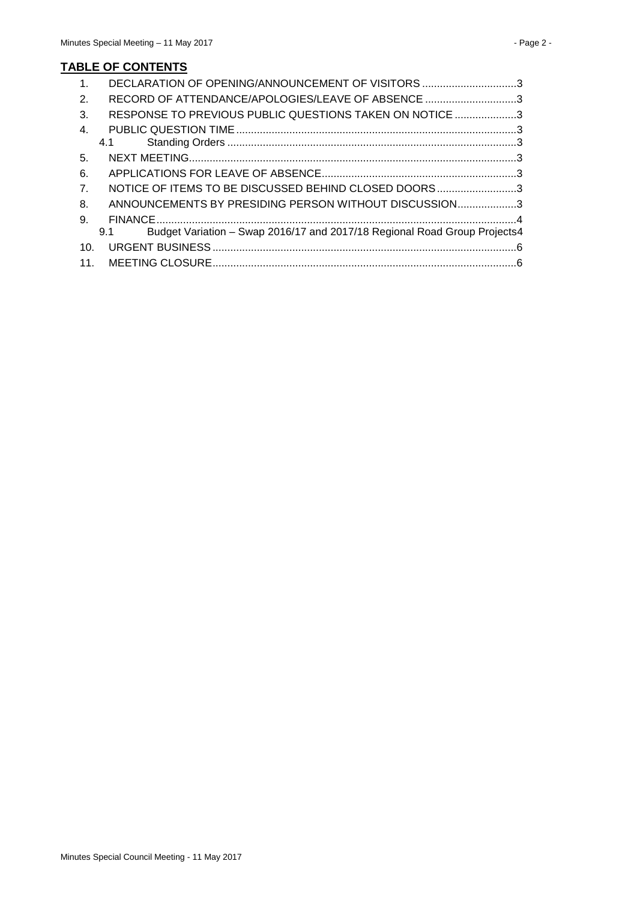| $\mathbf{1}$ .   | DECLARATION OF OPENING/ANNOUNCEMENT OF VISITORS 3                                |  |
|------------------|----------------------------------------------------------------------------------|--|
| 2.               | RECORD OF ATTENDANCE/APOLOGIES/LEAVE OF ABSENCE 3                                |  |
| 3.               | RESPONSE TO PREVIOUS PUBLIC QUESTIONS TAKEN ON NOTICE 3                          |  |
| $\mathbf{4}$ .   |                                                                                  |  |
|                  | 4.1                                                                              |  |
| 5.               |                                                                                  |  |
| 6.               |                                                                                  |  |
| $\overline{7}$ . | NOTICE OF ITEMS TO BE DISCUSSED BEHIND CLOSED DOORS3                             |  |
| 8.               | ANNOUNCEMENTS BY PRESIDING PERSON WITHOUT DISCUSSION3                            |  |
| 9.               |                                                                                  |  |
|                  | Budget Variation - Swap 2016/17 and 2017/18 Regional Road Group Projects4<br>9.1 |  |
| 10 <sub>1</sub>  |                                                                                  |  |
|                  |                                                                                  |  |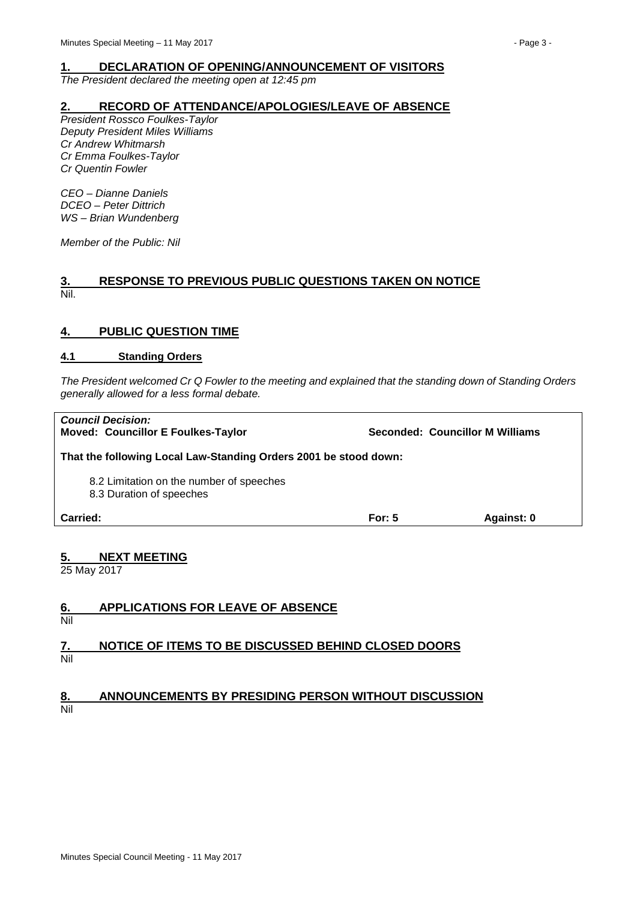<span id="page-2-0"></span>*The President declared the meeting open at 12:45 pm*

## <span id="page-2-1"></span>**2. RECORD OF ATTENDANCE/APOLOGIES/LEAVE OF ABSENCE**

*President Rossco Foulkes-Taylor Deputy President Miles Williams Cr Andrew Whitmarsh Cr Emma Foulkes-Taylor Cr Quentin Fowler*

*CEO – Dianne Daniels DCEO – Peter Dittrich WS – Brian Wundenberg*

*Member of the Public: Nil*

## <span id="page-2-2"></span>**3. RESPONSE TO PREVIOUS PUBLIC QUESTIONS TAKEN ON NOTICE** Nil.

# <span id="page-2-3"></span>**4. PUBLIC QUESTION TIME**

### <span id="page-2-4"></span>**4.1 Standing Orders**

*The President welcomed Cr Q Fowler to the meeting and explained that the standing down of Standing Orders generally allowed for a less formal debate.*

| Carried:                                                              | For: $5$ | Against: 0                      |  |  |
|-----------------------------------------------------------------------|----------|---------------------------------|--|--|
| 8.2 Limitation on the number of speeches<br>8.3 Duration of speeches  |          |                                 |  |  |
| That the following Local Law-Standing Orders 2001 be stood down:      |          |                                 |  |  |
| <b>Council Decision:</b><br><b>Moved: Councillor E Foulkes-Taylor</b> |          | Seconded: Councillor M Williams |  |  |

# <span id="page-2-5"></span>**5. NEXT MEETING** 5. NEX<br>25 May 2017

<span id="page-2-7"></span><span id="page-2-6"></span>

| 6.  | <b>APPLICATIONS FOR LEAVE OF ABSENCE</b>             |
|-----|------------------------------------------------------|
| Nil |                                                      |
| 7.  | NOTICE OF ITEMS TO BE DISCUSSED BEHIND CLOSED DOORS  |
| Nil |                                                      |
|     |                                                      |
| 8.  | ANNOUNCEMENTS BY PRESIDING PERSON WITHOUT DISCUSSION |

<span id="page-2-8"></span>Nil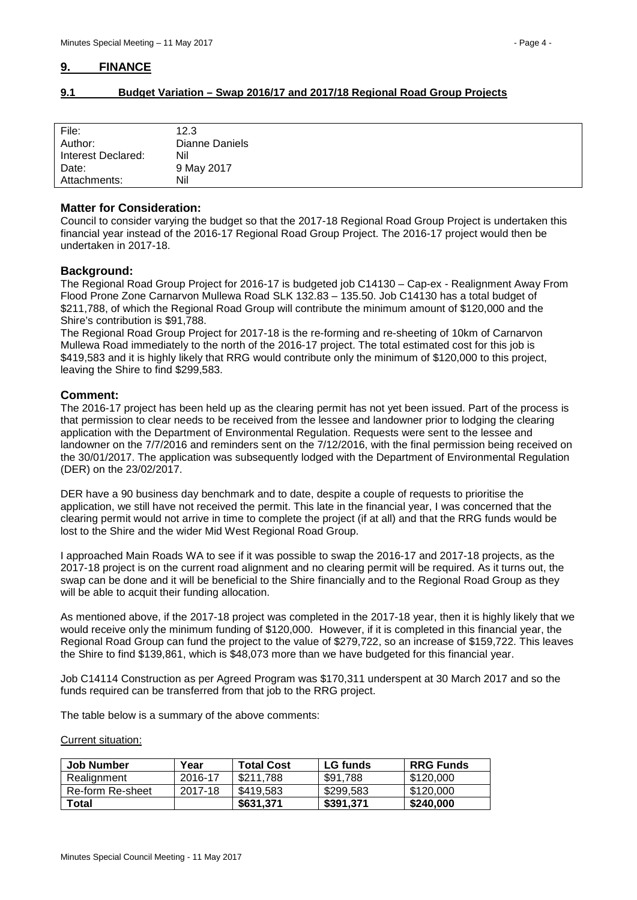# <span id="page-3-0"></span>**9. FINANCE**

# <span id="page-3-1"></span>**9.1 Budget Variation – Swap 2016/17 and 2017/18 Regional Road Group Projects**

| File:<br>Author:   | 12.3<br>Dianne Daniels |
|--------------------|------------------------|
|                    |                        |
| Interest Declared: | Nil                    |
| Date:              | 9 May 2017             |
| Attachments:       | Nil                    |

### **Matter for Consideration:**

Council to consider varying the budget so that the 2017-18 Regional Road Group Project is undertaken this financial year instead of the 2016-17 Regional Road Group Project. The 2016-17 project would then be undertaken in 2017-18.

# **Background:**

The Regional Road Group Project for 2016-17 is budgeted job C14130 – Cap-ex - Realignment Away From Flood Prone Zone Carnarvon Mullewa Road SLK 132.83 – 135.50. Job C14130 has a total budget of \$211,788, of which the Regional Road Group will contribute the minimum amount of \$120,000 and the Shire's contribution is \$91,788.

The Regional Road Group Project for 2017-18 is the re-forming and re-sheeting of 10km of Carnarvon Mullewa Road immediately to the north of the 2016-17 project. The total estimated cost for this job is \$419,583 and it is highly likely that RRG would contribute only the minimum of \$120,000 to this project, leaving the Shire to find \$299,583.

### **Comment:**

The 2016-17 project has been held up as the clearing permit has not yet been issued. Part of the process is that permission to clear needs to be received from the lessee and landowner prior to lodging the clearing application with the Department of Environmental Regulation. Requests were sent to the lessee and landowner on the 7/7/2016 and reminders sent on the 7/12/2016, with the final permission being received on the 30/01/2017. The application was subsequently lodged with the Department of Environmental Regulation (DER) on the 23/02/2017.

DER have a 90 business day benchmark and to date, despite a couple of requests to prioritise the application, we still have not received the permit. This late in the financial year, I was concerned that the clearing permit would not arrive in time to complete the project (if at all) and that the RRG funds would be lost to the Shire and the wider Mid West Regional Road Group.

I approached Main Roads WA to see if it was possible to swap the 2016-17 and 2017-18 projects, as the 2017-18 project is on the current road alignment and no clearing permit will be required. As it turns out, the swap can be done and it will be beneficial to the Shire financially and to the Regional Road Group as they will be able to acquit their funding allocation.

As mentioned above, if the 2017-18 project was completed in the 2017-18 year, then it is highly likely that we would receive only the minimum funding of \$120,000. However, if it is completed in this financial year, the Regional Road Group can fund the project to the value of \$279,722, so an increase of \$159,722. This leaves the Shire to find \$139,861, which is \$48,073 more than we have budgeted for this financial year.

Job C14114 Construction as per Agreed Program was \$170,311 underspent at 30 March 2017 and so the funds required can be transferred from that job to the RRG project.

The table below is a summary of the above comments:

Current situation:

| Job Number       | Year    | <b>Total Cost</b> | <b>LG</b> funds | <b>RRG Funds</b> |
|------------------|---------|-------------------|-----------------|------------------|
| Realignment      | 2016-17 | \$211.788         | \$91.788        | \$120,000        |
| Re-form Re-sheet | 2017-18 | \$419.583         | \$299.583       | \$120,000        |
| Total            |         | \$631.371         | \$391.371       | \$240,000        |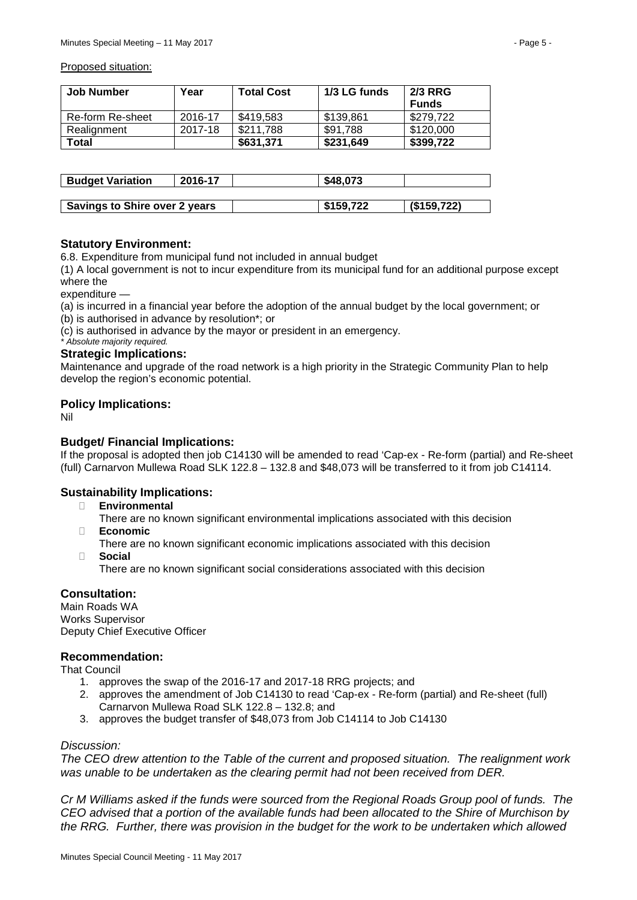#### Proposed situation:

| Job Number       | Year    | <b>Total Cost</b> | 1/3 LG funds |              |
|------------------|---------|-------------------|--------------|--------------|
|                  |         |                   |              | <b>Funds</b> |
| Re-form Re-sheet | 2016-17 | \$419.583         | \$139.861    | \$279.722    |
| Realignment      | 2017-18 | \$211.788         | \$91.788     | \$120,000    |
| Total            |         | \$631.371         | \$231,649    | \$399.722    |

| <b>Budget Variation</b>              | 2016-17 | \$48,073  |             |
|--------------------------------------|---------|-----------|-------------|
|                                      |         |           |             |
| <b>Savings to Shire over 2 years</b> |         | \$159,722 | (S159, 722) |

# **Statutory Environment:**

6.8. Expenditure from municipal fund not included in annual budget

(1) A local government is not to incur expenditure from its municipal fund for an additional purpose except where the

expenditure —

(a) is incurred in a financial year before the adoption of the annual budget by the local government; or (b) is authorised in advance by resolution\*; or

(c) is authorised in advance by the mayor or president in an emergency.

# *\* Absolute majority required.*

#### **Strategic Implications:**

Maintenance and upgrade of the road network is a high priority in the Strategic Community Plan to help develop the region's economic potential.

### **Policy Implications:**

Nil

# **Budget/ Financial Implications:**

If the proposal is adopted then job C14130 will be amended to read 'Cap-ex - Re-form (partial) and Re-sheet (full) Carnarvon Mullewa Road SLK 122.8 – 132.8 and \$48,073 will be transferred to it from job C14114.

# **Sustainability Implications:**

- � **Environmental**
	- There are no known significant environmental implications associated with this decision
- � **Economic**
	- There are no known significant economic implications associated with this decision
- � **Social**

There are no known significant social considerations associated with this decision

# **Consultation:**

Main Roads WA Works Supervisor Deputy Chief Executive Officer

### **Recommendation:**

That Council

- 1. approves the swap of the 2016-17 and 2017-18 RRG projects; and
- 2. approves the amendment of Job C14130 to read 'Cap-ex Re-form (partial) and Re-sheet (full) Carnarvon Mullewa Road SLK 122.8 – 132.8; and
- 3. approves the budget transfer of \$48,073 from Job C14114 to Job C14130

## *Discussion:*

*The CEO drew attention to the Table of the current and proposed situation. The realignment work was unable to be undertaken as the clearing permit had not been received from DER.*

*Cr M Williams asked if the funds were sourced from the Regional Roads Group pool of funds. The CEO advised that a portion of the available funds had been allocated to the Shire of Murchison by the RRG. Further, there was provision in the budget for the work to be undertaken which allowed*